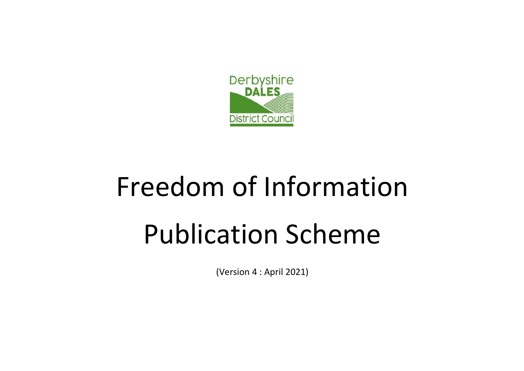

# Freedom of Information Publication Scheme

(Version 4 : April 2021)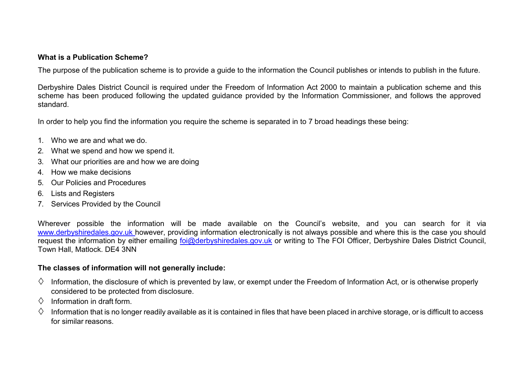#### **What is a Publication Scheme?**

The purpose of the publication scheme is to provide a guide to the information the Council publishes or intends to publish in the future.

Derbyshire Dales District Council is required under the Freedom of Information Act 2000 to maintain a publication scheme and this scheme has been produced following the updated guidance provided by the Information Commissioner, and follows the approved standard.

In order to help you find the information you require the scheme is separated in to 7 broad headings these being:

- 1. Who we are and what we do.
- 2. What we spend and how we spend it.
- 3. What our priorities are and how we are doing
- 4. How we make decisions
- 5. Our Policies and Procedures
- 6. Lists and Registers
- 7. Services Provided by the Council

Wherever possible the information will be made available on the Council's website, and you can search for it via [www.derbyshiredales.gov.uk however, p](http://www.derbyshiredales.gov.ukhowever/)roviding information electronically is not always possible and where this is the case you should request the information by either emailing [foi@derbyshiredales.gov.uk](mailto:foi@derbyshiredales.gov.uk) or writing to The FOI Officer, Derbyshire Dales District Council, Town Hall, Matlock. DE4 3NN

#### **The classes of information will not generally include:**

- $\diamond$  Information, the disclosure of which is prevented by law, or exempt under the Freedom of Information Act, or is otherwise properly considered to be protected from disclosure.
- $\Diamond$  Information in draft form.
- $\Diamond$  Information that is no longer readily available as it is contained in files that have been placed in archive storage, or is difficult to access for similar reasons.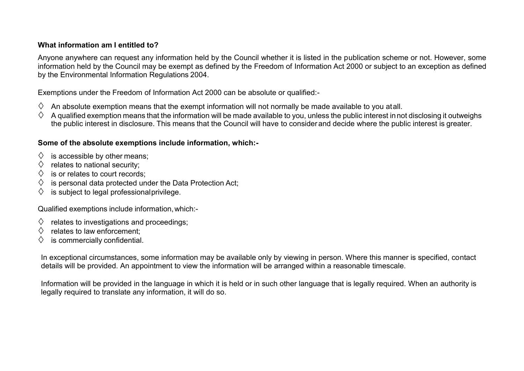## **What information am I entitled to?**

Anyone anywhere can request any information held by the Council whether it is listed in the publication scheme or not. However, some information held by the Council may be exempt as defined by the Freedom of Information Act 2000 or subject to an exception as defined by the Environmental Information Regulations 2004.

Exemptions under the Freedom of Information Act 2000 can be absolute or qualified:-

- An absolute exemption means that the exempt information will not normally be made available to you atall.
- $\Diamond$  A qualified exemption means that the information will be made available to you, unless the public interest in not disclosing it outweighs the public interest in disclosure. This means that the Council will have to consider and decide where the public interest is greater.

#### **Some of the absolute exemptions include information, which:-**

- $\Diamond$  is accessible by other means;
- $\Diamond$  relates to national security:
- $\diamond$  is or relates to court records:
- $\Diamond$  is personal data protected under the Data Protection Act:
- $\diamondsuit$  is subject to legal professional privilege.

Qualified exemptions include information,which:-

- $\Diamond$  relates to investigations and proceedings;
- $\Diamond$  relates to law enforcement:
- is commercially confidential.

In exceptional circumstances, some information may be available only by viewing in person. Where this manner is specified, contact details will be provided. An appointment to view the information will be arranged within a reasonable timescale.

Information will be provided in the language in which it is held or in such other language that is legally required. When an authority is legally required to translate any information, it will do so.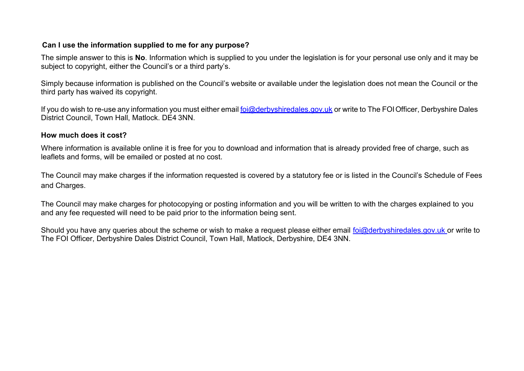#### **Can I use the information supplied to me for any purpose?**

The simple answer to this is **No**. Information which is supplied to you under the legislation is for your personal use only and it may be subject to copyright, either the Council's or a third party's.

Simply because information is published on the Council's website or available under the legislation does not mean the Council or the third party has waived its copyright.

If you do wish to re-use any information you must either email [foi@derbyshiredales.gov.uk](mailto:foi@derbyshiredales.gov.uk) or write to The FOI Officer, Derbyshire Dales District Council, Town Hall, Matlock. DE4 3NN.

#### **How much does it cost?**

Where information is available online it is free for you to download and information that is already provided free of charge, such as leaflets and forms, will be emailed or posted at no cost.

The Council may make charges if the information requested is covered by a statutory fee or is listed in the Council's Schedule of Fees and Charges.

The Council may make charges for photocopying or posting information and you will be written to with the charges explained to you and any fee requested will need to be paid prior to the information being sent.

Should you have any queries about the scheme or wish to make a request please either email [foi@derbyshiredales.gov.uk o](mailto:foi@derbyshiredales.gov.uk)r write to The FOI Officer, Derbyshire Dales District Council, Town Hall, Matlock, Derbyshire, DE4 3NN.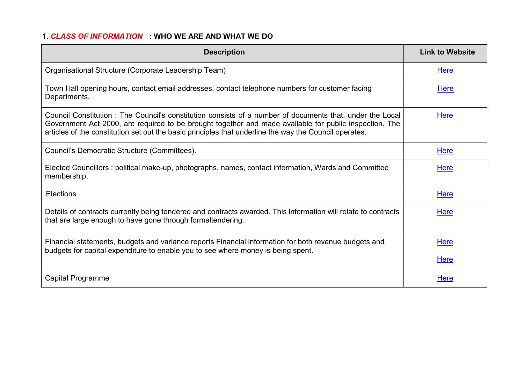# **1.** *CLASS OF INFORMATION* **: WHO WE ARE AND WHAT WE DO**

| <b>Description</b>                                                                                                                                                                                                                                                                                                           | <b>Link to Website</b> |
|------------------------------------------------------------------------------------------------------------------------------------------------------------------------------------------------------------------------------------------------------------------------------------------------------------------------------|------------------------|
| Organisational Structure (Corporate Leadership Team)                                                                                                                                                                                                                                                                         | Here                   |
| Town Hall opening hours, contact email addresses, contact telephone numbers for customer facing<br>Departments.                                                                                                                                                                                                              | Here                   |
| Council Constitution: The Council's constitution consists of a number of documents that, under the Local<br>Government Act 2000, are required to be brought together and made available for public inspection. The<br>articles of the constitution set out the basic principles that underline the way the Council operates. | <b>Here</b>            |
| Council's Democratic Structure (Committees).                                                                                                                                                                                                                                                                                 | <b>Here</b>            |
| Elected Councillors: political make-up, photographs, names, contact information, Wards and Committee<br>membership.                                                                                                                                                                                                          | Here                   |
| Elections                                                                                                                                                                                                                                                                                                                    | <b>Here</b>            |
| Details of contracts currently being tendered and contracts awarded. This information will relate to contracts<br>that are large enough to have gone through formaltendering.                                                                                                                                                | Here                   |
| Financial statements, budgets and variance reports Financial information for both revenue budgets and<br>budgets for capital expenditure to enable you to see where money is being spent.                                                                                                                                    | <b>Here</b>            |
|                                                                                                                                                                                                                                                                                                                              | <b>Here</b>            |
| Capital Programme                                                                                                                                                                                                                                                                                                            | <b>Here</b>            |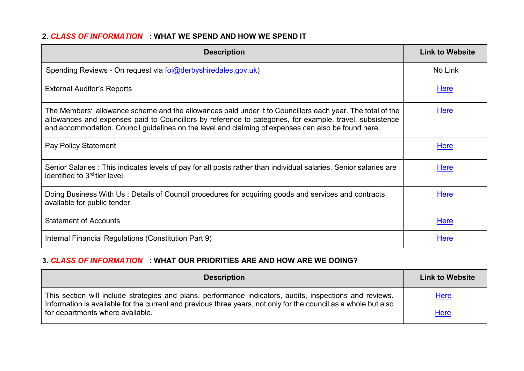## **2.** *CLASS OF INFORMATION* **: WHAT WE SPEND AND HOW WE SPEND IT**

| <b>Description</b>                                                                                                                                                                                                                                                                                                           | <b>Link to Website</b> |
|------------------------------------------------------------------------------------------------------------------------------------------------------------------------------------------------------------------------------------------------------------------------------------------------------------------------------|------------------------|
| Spending Reviews - On request via foi@derbyshiredales.gov.uk)                                                                                                                                                                                                                                                                | No Link                |
| <b>External Auditor's Reports</b>                                                                                                                                                                                                                                                                                            | <u>Here</u>            |
| The Members' allowance scheme and the allowances paid under it to Councillors each year. The total of the<br>allowances and expenses paid to Councillors by reference to categories, for example. travel, subsistence<br>and accommodation. Council guidelines on the level and claiming of expenses can also be found here. | <b>Here</b>            |
| Pay Policy Statement                                                                                                                                                                                                                                                                                                         | <b>Here</b>            |
| Senior Salaries : This indicates levels of pay for all posts rather than individual salaries. Senior salaries are<br>identified to 3 <sup>rd</sup> tier level.                                                                                                                                                               | <b>Here</b>            |
| Doing Business With Us: Details of Council procedures for acquiring goods and services and contracts<br>available for public tender.                                                                                                                                                                                         | <b>Here</b>            |
| <b>Statement of Accounts</b>                                                                                                                                                                                                                                                                                                 | Here                   |
| Internal Financial Regulations (Constitution Part 9)                                                                                                                                                                                                                                                                         | <b>Here</b>            |

# **3.** *CLASS OF INFORMATION* **: WHAT OUR PRIORITIES ARE AND HOW ARE WE DOING?**

| <b>Description</b>                                                                                                                                                                                                          | <b>Link to Website</b> |
|-----------------------------------------------------------------------------------------------------------------------------------------------------------------------------------------------------------------------------|------------------------|
| This section will include strategies and plans, performance indicators, audits, inspections and reviews.<br>Information is available for the current and previous three years, not only for the council as a whole but also | Here                   |
| for departments where available.                                                                                                                                                                                            | <b>Here</b>            |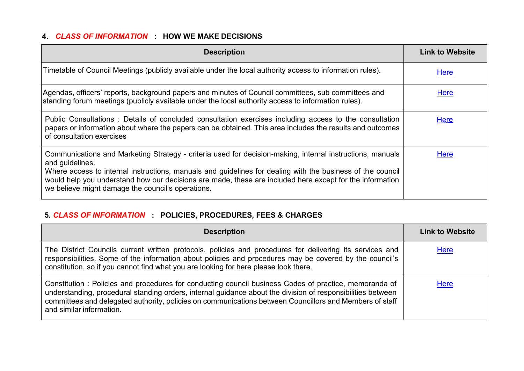# **4.** *CLASS OF INFORMATION* **: HOW WE MAKE DECISIONS**

| <b>Description</b>                                                                                                                                                                                                                                                                                                                                                                                          | <b>Link to Website</b> |
|-------------------------------------------------------------------------------------------------------------------------------------------------------------------------------------------------------------------------------------------------------------------------------------------------------------------------------------------------------------------------------------------------------------|------------------------|
| Timetable of Council Meetings (publicly available under the local authority access to information rules).                                                                                                                                                                                                                                                                                                   | <b>Here</b>            |
| Agendas, officers' reports, background papers and minutes of Council committees, sub committees and<br>standing forum meetings (publicly available under the local authority access to information rules).                                                                                                                                                                                                  | Here                   |
| Public Consultations : Details of concluded consultation exercises including access to the consultation<br>papers or information about where the papers can be obtained. This area includes the results and outcomes<br>of consultation exercises                                                                                                                                                           | <b>Here</b>            |
| Communications and Marketing Strategy - criteria used for decision-making, internal instructions, manuals<br>and guidelines.<br>Where access to internal instructions, manuals and guidelines for dealing with the business of the council<br>would help you understand how our decisions are made, these are included here except for the information<br>we believe might damage the council's operations. | <b>Here</b>            |

# **5.** *CLASS OF INFORMATION* **: POLICIES, PROCEDURES, FEES & CHARGES**

| <b>Description</b>                                                                                                                                                                                                                                                                                                                                          | <b>Link to Website</b> |
|-------------------------------------------------------------------------------------------------------------------------------------------------------------------------------------------------------------------------------------------------------------------------------------------------------------------------------------------------------------|------------------------|
| The District Councils current written protocols, policies and procedures for delivering its services and<br>responsibilities. Some of the information about policies and procedures may be covered by the council's<br>constitution, so if you cannot find what you are looking for here please look there.                                                 | Here                   |
| Constitution: Policies and procedures for conducting council business Codes of practice, memoranda of<br>understanding, procedural standing orders, internal guidance about the division of responsibilities between<br>committees and delegated authority, policies on communications between Councillors and Members of staff<br>and similar information. | <b>Here</b>            |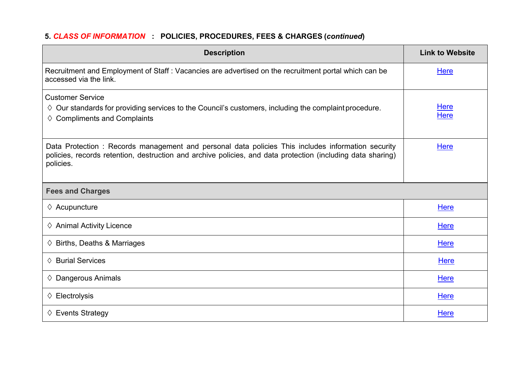# **5.** *CLASS OF INFORMATION* **: POLICIES, PROCEDURES, FEES & CHARGES (***continued***)**

| <b>Description</b>                                                                                                                                                                                                            | <b>Link to Website</b>     |
|-------------------------------------------------------------------------------------------------------------------------------------------------------------------------------------------------------------------------------|----------------------------|
| Recruitment and Employment of Staff: Vacancies are advertised on the recruitment portal which can be<br>accessed via the link.                                                                                                | Here                       |
| <b>Customer Service</b><br>$\Diamond$ Our standards for providing services to the Council's customers, including the complaint procedure.<br>$\diamond$ Compliments and Complaints                                            | <b>Here</b><br><b>Here</b> |
| Data Protection: Records management and personal data policies This includes information security<br>policies, records retention, destruction and archive policies, and data protection (including data sharing)<br>policies. | Here                       |
| <b>Fees and Charges</b>                                                                                                                                                                                                       |                            |
| $\diamond$ Acupuncture                                                                                                                                                                                                        | <b>Here</b>                |
| $\diamond$ Animal Activity Licence                                                                                                                                                                                            | <b>Here</b>                |
| $\diamond$ Births, Deaths & Marriages                                                                                                                                                                                         | <b>Here</b>                |
| $\diamond$ Burial Services                                                                                                                                                                                                    | <b>Here</b>                |
| $\diamond$ Dangerous Animals                                                                                                                                                                                                  | <b>Here</b>                |
| $\diamond$ Electrolysis                                                                                                                                                                                                       | Here                       |
| $\diamond$ Events Strategy                                                                                                                                                                                                    | Here                       |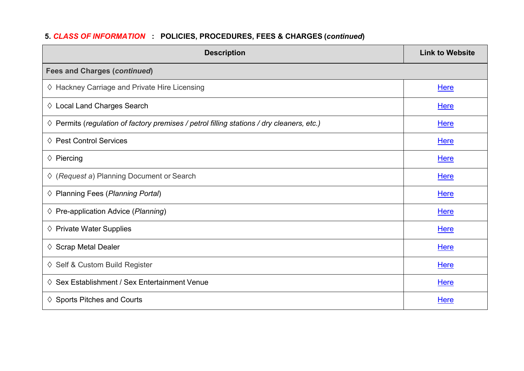# **5.** *CLASS OF INFORMATION* **: POLICIES, PROCEDURES, FEES & CHARGES (***continued***)**

| <b>Description</b>                                                                                 | <b>Link to Website</b> |
|----------------------------------------------------------------------------------------------------|------------------------|
| <b>Fees and Charges (continued)</b>                                                                |                        |
| ♦ Hackney Carriage and Private Hire Licensing                                                      | Here                   |
| $\diamond$ Local Land Charges Search                                                               | Here                   |
| $\diamond$ Permits (regulation of factory premises / petrol filling stations / dry cleaners, etc.) | Here                   |
| $\diamond$ Pest Control Services                                                                   | Here                   |
| $\diamond$ Piercing                                                                                | <b>Here</b>            |
| $\Diamond$ (Request a) Planning Document or Search                                                 | Here                   |
| $\Diamond$ Planning Fees (Planning Portal)                                                         | Here                   |
| $\diamond$ Pre-application Advice ( <i>Planning</i> )                                              | Here                   |
| $\diamond$ Private Water Supplies                                                                  | Here                   |
| $\diamond$ Scrap Metal Dealer                                                                      | <b>Here</b>            |
| ♦ Self & Custom Build Register                                                                     | Here                   |
| $\diamond$ Sex Establishment / Sex Entertainment Venue                                             | <b>Here</b>            |
| $\diamond$ Sports Pitches and Courts                                                               | <b>Here</b>            |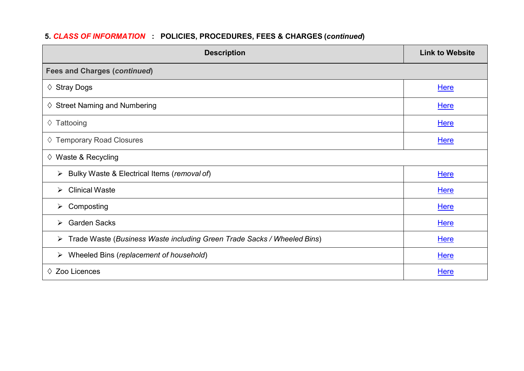# **5.** *CLASS OF INFORMATION* **: POLICIES, PROCEDURES, FEES & CHARGES (***continued***)**

| <b>Description</b>                                                           | <b>Link to Website</b> |
|------------------------------------------------------------------------------|------------------------|
| <b>Fees and Charges (continued)</b>                                          |                        |
| $\diamond$ Stray Dogs                                                        | <b>Here</b>            |
| $\diamond$ Street Naming and Numbering                                       | <b>Here</b>            |
| $\Diamond$ Tattooing                                                         | <b>Here</b>            |
| ♦ Temporary Road Closures                                                    | <b>Here</b>            |
| $\diamond$ Waste & Recycling                                                 |                        |
| Bulky Waste & Electrical Items (removal of)<br>➤                             | <b>Here</b>            |
| <b>Clinical Waste</b><br>≻                                                   | <b>Here</b>            |
| Composting<br>➤                                                              | <b>Here</b>            |
| <b>Garden Sacks</b><br>$\triangleright$                                      | <b>Here</b>            |
| Trade Waste (Business Waste including Green Trade Sacks / Wheeled Bins)<br>➤ | <b>Here</b>            |
| Wheeled Bins (replacement of household)<br>➤                                 | <b>Here</b>            |
| Zoo Licences<br>♦                                                            | <b>Here</b>            |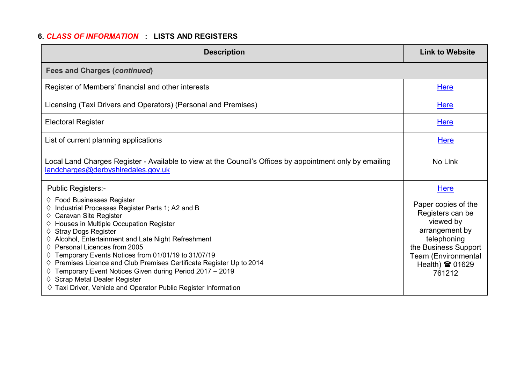# **6.** *CLASS OF INFORMATION* **: LISTS AND REGISTERS**

| <b>Description</b>                                                                                                                                                                                                                                                                                                      | <b>Link to Website</b>                                                                                                       |
|-------------------------------------------------------------------------------------------------------------------------------------------------------------------------------------------------------------------------------------------------------------------------------------------------------------------------|------------------------------------------------------------------------------------------------------------------------------|
| <b>Fees and Charges (continued)</b>                                                                                                                                                                                                                                                                                     |                                                                                                                              |
| Register of Members' financial and other interests                                                                                                                                                                                                                                                                      | Here                                                                                                                         |
| Licensing (Taxi Drivers and Operators) (Personal and Premises)                                                                                                                                                                                                                                                          | Here                                                                                                                         |
| <b>Electoral Register</b>                                                                                                                                                                                                                                                                                               | <b>Here</b>                                                                                                                  |
| List of current planning applications                                                                                                                                                                                                                                                                                   | Here                                                                                                                         |
| Local Land Charges Register - Available to view at the Council's Offices by appointment only by emailing<br>landcharges@derbyshiredales.gov.uk                                                                                                                                                                          | No Link                                                                                                                      |
| Public Registers:-<br>$\diamond$ Food Businesses Register<br>Industrial Processes Register Parts 1; A2 and B<br>Caravan Site Register<br>$\diamond$ Houses in Multiple Occupation Register<br><b>Stray Dogs Register</b><br>$\diamond$ Alcohol, Entertainment and Late Night Refreshment<br>Personal Licences from 2005 | <b>Here</b><br>Paper copies of the<br>Registers can be<br>viewed by<br>arrangement by<br>telephoning<br>the Business Support |
| Temporary Events Notices from 01/01/19 to 31/07/19<br>$\diamond$ Premises Licence and Club Premises Certificate Register Up to 2014<br>Temporary Event Notices Given during Period 2017 - 2019<br>$\diamond$ Scrap Metal Dealer Register<br>$\diamond$ Taxi Driver, Vehicle and Operator Public Register Information    | Team (Environmental<br>Health) <b>雷 01629</b><br>761212                                                                      |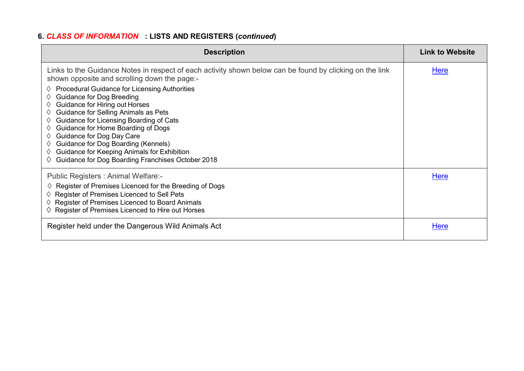# **6.** *CLASS OF INFORMATION* **: LISTS AND REGISTERS (***continued***)**

| <b>Description</b>                                                                                                                                                                                                                                                                                                                                                                                                                                                                                                                                                                                                                        | <b>Link to Website</b> |
|-------------------------------------------------------------------------------------------------------------------------------------------------------------------------------------------------------------------------------------------------------------------------------------------------------------------------------------------------------------------------------------------------------------------------------------------------------------------------------------------------------------------------------------------------------------------------------------------------------------------------------------------|------------------------|
| Links to the Guidance Notes in respect of each activity shown below can be found by clicking on the link<br>shown opposite and scrolling down the page:-<br><b>Procedural Guidance for Licensing Authorities</b><br>♦<br><b>Guidance for Dog Breeding</b><br>♦<br>Guidance for Hiring out Horses<br>♦<br>Guidance for Selling Animals as Pets<br>♦<br>Guidance for Licensing Boarding of Cats<br>♦<br>Guidance for Home Boarding of Dogs<br>♦<br>Guidance for Dog Day Care<br>♦<br>Guidance for Dog Boarding (Kennels)<br>♦<br>Guidance for Keeping Animals for Exhibition<br>♦<br>Guidance for Dog Boarding Franchises October 2018<br>♦ | <u>Here</u>            |
| Public Registers: Animal Welfare:-<br>$\diamond$ Register of Premises Licenced for the Breeding of Dogs<br>$\diamond$ Register of Premises Licenced to Sell Pets<br>$\diamond$ Register of Premises Licenced to Board Animals<br>$\diamond$ Register of Premises Licenced to Hire out Horses                                                                                                                                                                                                                                                                                                                                              | <b>Here</b>            |
| Register held under the Dangerous Wild Animals Act                                                                                                                                                                                                                                                                                                                                                                                                                                                                                                                                                                                        | <b>Here</b>            |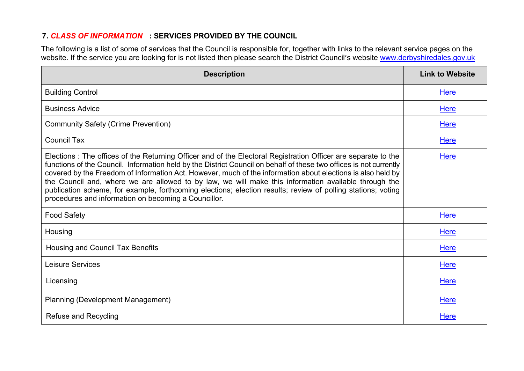## **7.** *CLASS OF INFORMATION* **: SERVICES PROVIDED BY THE COUNCIL**

The following is a list of some of services that the Council is responsible for, together with links to the relevant service pages on the website. If the service you are looking for is not listed then please search the District Council's website [www.derbyshiredales.gov.uk](http://www.derbyshiredales.gov.uk/)

| <b>Description</b>                                                                                                                                                                                                                                                                                                                                                                                                                                                                                                                                                                                                                 | <b>Link to Website</b> |
|------------------------------------------------------------------------------------------------------------------------------------------------------------------------------------------------------------------------------------------------------------------------------------------------------------------------------------------------------------------------------------------------------------------------------------------------------------------------------------------------------------------------------------------------------------------------------------------------------------------------------------|------------------------|
| <b>Building Control</b>                                                                                                                                                                                                                                                                                                                                                                                                                                                                                                                                                                                                            | Here                   |
| <b>Business Advice</b>                                                                                                                                                                                                                                                                                                                                                                                                                                                                                                                                                                                                             | <b>Here</b>            |
| <b>Community Safety (Crime Prevention)</b>                                                                                                                                                                                                                                                                                                                                                                                                                                                                                                                                                                                         | Here                   |
| <b>Council Tax</b>                                                                                                                                                                                                                                                                                                                                                                                                                                                                                                                                                                                                                 | <b>Here</b>            |
| Elections: The offices of the Returning Officer and of the Electoral Registration Officer are separate to the<br>functions of the Council. Information held by the District Council on behalf of these two offices is not currently<br>covered by the Freedom of Information Act. However, much of the information about elections is also held by<br>the Council and, where we are allowed to by law, we will make this information available through the<br>publication scheme, for example, forthcoming elections; election results; review of polling stations; voting<br>procedures and information on becoming a Councillor. | Here                   |
| <b>Food Safety</b>                                                                                                                                                                                                                                                                                                                                                                                                                                                                                                                                                                                                                 | <b>Here</b>            |
| Housing                                                                                                                                                                                                                                                                                                                                                                                                                                                                                                                                                                                                                            | Here                   |
| Housing and Council Tax Benefits                                                                                                                                                                                                                                                                                                                                                                                                                                                                                                                                                                                                   | <b>Here</b>            |
| Leisure Services                                                                                                                                                                                                                                                                                                                                                                                                                                                                                                                                                                                                                   | <b>Here</b>            |
| Licensing                                                                                                                                                                                                                                                                                                                                                                                                                                                                                                                                                                                                                          | <b>Here</b>            |
| <b>Planning (Development Management)</b>                                                                                                                                                                                                                                                                                                                                                                                                                                                                                                                                                                                           | <b>Here</b>            |
| <b>Refuse and Recycling</b>                                                                                                                                                                                                                                                                                                                                                                                                                                                                                                                                                                                                        | Here                   |